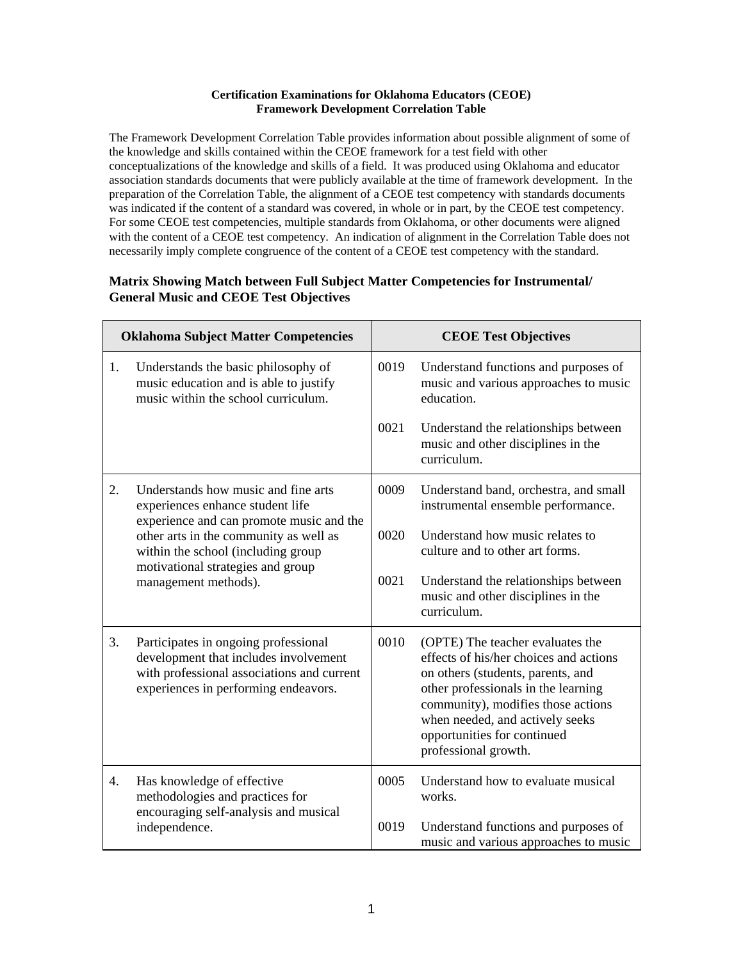## **Certification Examinations for Oklahoma Educators (CEOE) Framework Development Correlation Table**

The Framework Development Correlation Table provides information about possible alignment of some of the knowledge and skills contained within the CEOE framework for a test field with other conceptualizations of the knowledge and skills of a field. It was produced using Oklahoma and educator association standards documents that were publicly available at the time of framework development. In the preparation of the Correlation Table, the alignment of a CEOE test competency with standards documents was indicated if the content of a standard was covered, in whole or in part, by the CEOE test competency. For some CEOE test competencies, multiple standards from Oklahoma, or other documents were aligned with the content of a CEOE test competency. An indication of alignment in the Correlation Table does not necessarily imply complete congruence of the content of a CEOE test competency with the standard.

## **Matrix Showing Match between Full Subject Matter Competencies for Instrumental/ General Music and CEOE Test Objectives**

|    | <b>Oklahoma Subject Matter Competencies</b>                                                                                                                         |      | <b>CEOE Test Objectives</b>                                                                                                                                                                                                                                                            |
|----|---------------------------------------------------------------------------------------------------------------------------------------------------------------------|------|----------------------------------------------------------------------------------------------------------------------------------------------------------------------------------------------------------------------------------------------------------------------------------------|
| 1. | Understands the basic philosophy of<br>music education and is able to justify<br>music within the school curriculum.                                                | 0019 | Understand functions and purposes of<br>music and various approaches to music<br>education.                                                                                                                                                                                            |
|    |                                                                                                                                                                     | 0021 | Understand the relationships between<br>music and other disciplines in the<br>curriculum.                                                                                                                                                                                              |
| 2. | Understands how music and fine arts<br>experiences enhance student life<br>experience and can promote music and the                                                 | 0009 | Understand band, orchestra, and small<br>instrumental ensemble performance.                                                                                                                                                                                                            |
|    | other arts in the community as well as<br>within the school (including group<br>motivational strategies and group                                                   | 0020 | Understand how music relates to<br>culture and to other art forms.                                                                                                                                                                                                                     |
|    | management methods).                                                                                                                                                | 0021 | Understand the relationships between<br>music and other disciplines in the<br>curriculum.                                                                                                                                                                                              |
| 3. | Participates in ongoing professional<br>development that includes involvement<br>with professional associations and current<br>experiences in performing endeavors. | 0010 | (OPTE) The teacher evaluates the<br>effects of his/her choices and actions<br>on others (students, parents, and<br>other professionals in the learning<br>community), modifies those actions<br>when needed, and actively seeks<br>opportunities for continued<br>professional growth. |
| 4. | Has knowledge of effective<br>methodologies and practices for<br>encouraging self-analysis and musical                                                              | 0005 | Understand how to evaluate musical<br>works.                                                                                                                                                                                                                                           |
|    | independence.                                                                                                                                                       | 0019 | Understand functions and purposes of<br>music and various approaches to music                                                                                                                                                                                                          |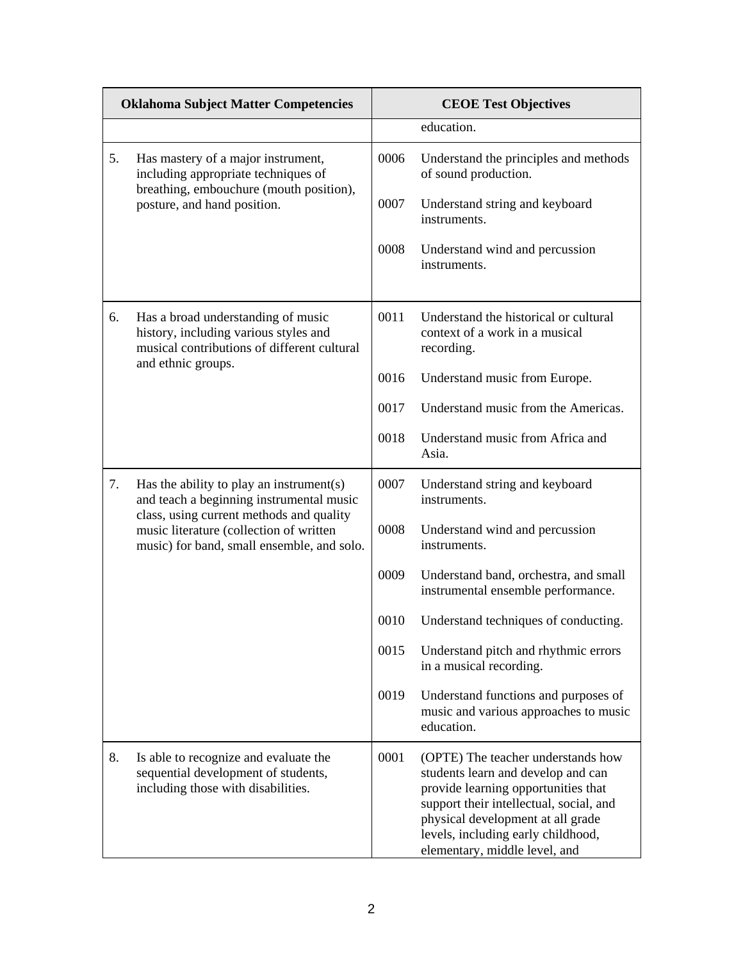|    | <b>Oklahoma Subject Matter Competencies</b>                                                                                                                                                                               |      | <b>CEOE Test Objectives</b>                                                                                                                                                                                                                                            |
|----|---------------------------------------------------------------------------------------------------------------------------------------------------------------------------------------------------------------------------|------|------------------------------------------------------------------------------------------------------------------------------------------------------------------------------------------------------------------------------------------------------------------------|
|    |                                                                                                                                                                                                                           |      | education.                                                                                                                                                                                                                                                             |
| 5. | Has mastery of a major instrument,<br>including appropriate techniques of<br>breathing, embouchure (mouth position),<br>posture, and hand position.                                                                       | 0006 | Understand the principles and methods<br>of sound production.                                                                                                                                                                                                          |
|    |                                                                                                                                                                                                                           | 0007 | Understand string and keyboard<br>instruments.                                                                                                                                                                                                                         |
|    |                                                                                                                                                                                                                           | 0008 | Understand wind and percussion<br>instruments.                                                                                                                                                                                                                         |
| 6. | Has a broad understanding of music<br>history, including various styles and<br>musical contributions of different cultural<br>and ethnic groups.                                                                          | 0011 | Understand the historical or cultural<br>context of a work in a musical<br>recording.                                                                                                                                                                                  |
|    |                                                                                                                                                                                                                           | 0016 | Understand music from Europe.                                                                                                                                                                                                                                          |
|    |                                                                                                                                                                                                                           | 0017 | Understand music from the Americas.                                                                                                                                                                                                                                    |
|    |                                                                                                                                                                                                                           | 0018 | Understand music from Africa and<br>Asia.                                                                                                                                                                                                                              |
| 7. | Has the ability to play an instrument(s)<br>and teach a beginning instrumental music<br>class, using current methods and quality<br>music literature (collection of written<br>music) for band, small ensemble, and solo. | 0007 | Understand string and keyboard<br>instruments.                                                                                                                                                                                                                         |
|    |                                                                                                                                                                                                                           | 0008 | Understand wind and percussion<br>instruments.                                                                                                                                                                                                                         |
|    |                                                                                                                                                                                                                           | 0009 | Understand band, orchestra, and small<br>instrumental ensemble performance.                                                                                                                                                                                            |
|    |                                                                                                                                                                                                                           | 0010 | Understand techniques of conducting.                                                                                                                                                                                                                                   |
|    |                                                                                                                                                                                                                           | 0015 | Understand pitch and rhythmic errors<br>in a musical recording.                                                                                                                                                                                                        |
|    |                                                                                                                                                                                                                           | 0019 | Understand functions and purposes of<br>music and various approaches to music<br>education.                                                                                                                                                                            |
| 8. | Is able to recognize and evaluate the<br>sequential development of students,<br>including those with disabilities.                                                                                                        | 0001 | (OPTE) The teacher understands how<br>students learn and develop and can<br>provide learning opportunities that<br>support their intellectual, social, and<br>physical development at all grade<br>levels, including early childhood,<br>elementary, middle level, and |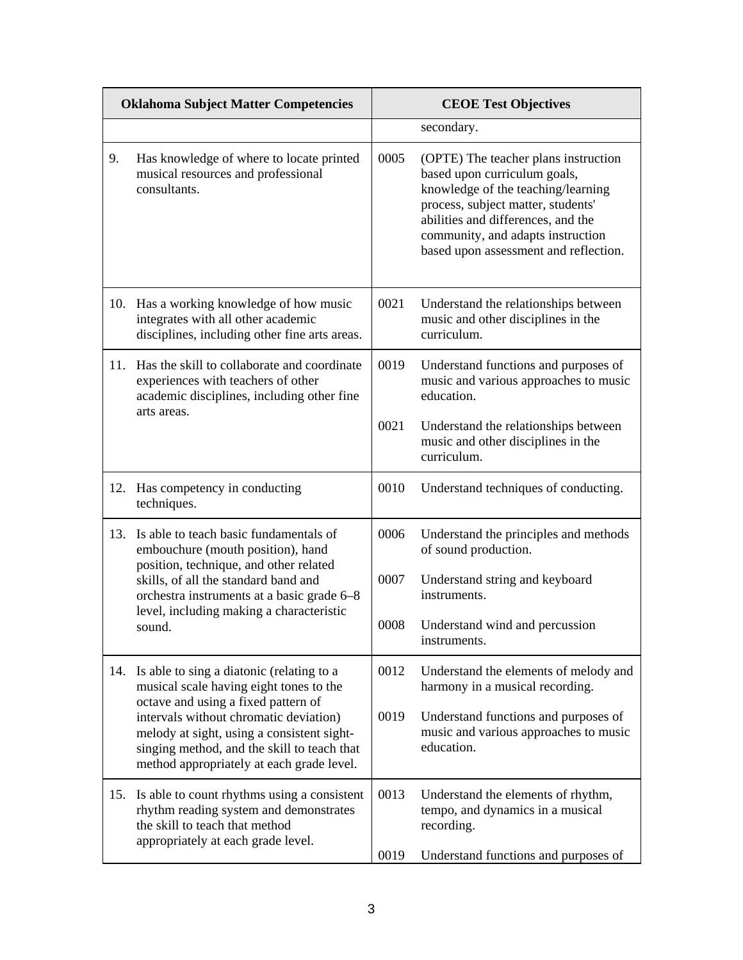| <b>Oklahoma Subject Matter Competencies</b> |                                                                                                                                                                                                                                                                                                                 | <b>CEOE Test Objectives</b> |                                                                                                                                                                                                                                                                      |
|---------------------------------------------|-----------------------------------------------------------------------------------------------------------------------------------------------------------------------------------------------------------------------------------------------------------------------------------------------------------------|-----------------------------|----------------------------------------------------------------------------------------------------------------------------------------------------------------------------------------------------------------------------------------------------------------------|
|                                             |                                                                                                                                                                                                                                                                                                                 |                             | secondary.                                                                                                                                                                                                                                                           |
| 9.                                          | Has knowledge of where to locate printed<br>musical resources and professional<br>consultants.                                                                                                                                                                                                                  | 0005                        | (OPTE) The teacher plans instruction<br>based upon curriculum goals,<br>knowledge of the teaching/learning<br>process, subject matter, students'<br>abilities and differences, and the<br>community, and adapts instruction<br>based upon assessment and reflection. |
| 10.                                         | Has a working knowledge of how music<br>integrates with all other academic<br>disciplines, including other fine arts areas.                                                                                                                                                                                     | 0021                        | Understand the relationships between<br>music and other disciplines in the<br>curriculum.                                                                                                                                                                            |
| 11.                                         | Has the skill to collaborate and coordinate<br>experiences with teachers of other<br>academic disciplines, including other fine<br>arts areas.                                                                                                                                                                  | 0019                        | Understand functions and purposes of<br>music and various approaches to music<br>education.                                                                                                                                                                          |
|                                             |                                                                                                                                                                                                                                                                                                                 | 0021                        | Understand the relationships between<br>music and other disciplines in the<br>curriculum.                                                                                                                                                                            |
| 12.                                         | Has competency in conducting<br>techniques.                                                                                                                                                                                                                                                                     | 0010                        | Understand techniques of conducting.                                                                                                                                                                                                                                 |
| 13.                                         | Is able to teach basic fundamentals of<br>embouchure (mouth position), hand<br>position, technique, and other related<br>skills, of all the standard band and<br>orchestra instruments at a basic grade 6–8<br>level, including making a characteristic<br>sound.                                               | 0006                        | Understand the principles and methods<br>of sound production.                                                                                                                                                                                                        |
|                                             |                                                                                                                                                                                                                                                                                                                 | 0007                        | Understand string and keyboard<br>instruments.                                                                                                                                                                                                                       |
|                                             |                                                                                                                                                                                                                                                                                                                 | 0008                        | Understand wind and percussion<br>instruments.                                                                                                                                                                                                                       |
| 14.                                         | Is able to sing a diatonic (relating to a<br>musical scale having eight tones to the<br>octave and using a fixed pattern of<br>intervals without chromatic deviation)<br>melody at sight, using a consistent sight-<br>singing method, and the skill to teach that<br>method appropriately at each grade level. | 0012                        | Understand the elements of melody and<br>harmony in a musical recording.                                                                                                                                                                                             |
|                                             |                                                                                                                                                                                                                                                                                                                 | 0019                        | Understand functions and purposes of<br>music and various approaches to music<br>education.                                                                                                                                                                          |
| 15.                                         | Is able to count rhythms using a consistent<br>rhythm reading system and demonstrates<br>the skill to teach that method<br>appropriately at each grade level.                                                                                                                                                   | 0013                        | Understand the elements of rhythm,<br>tempo, and dynamics in a musical<br>recording.                                                                                                                                                                                 |
|                                             |                                                                                                                                                                                                                                                                                                                 | 0019                        | Understand functions and purposes of                                                                                                                                                                                                                                 |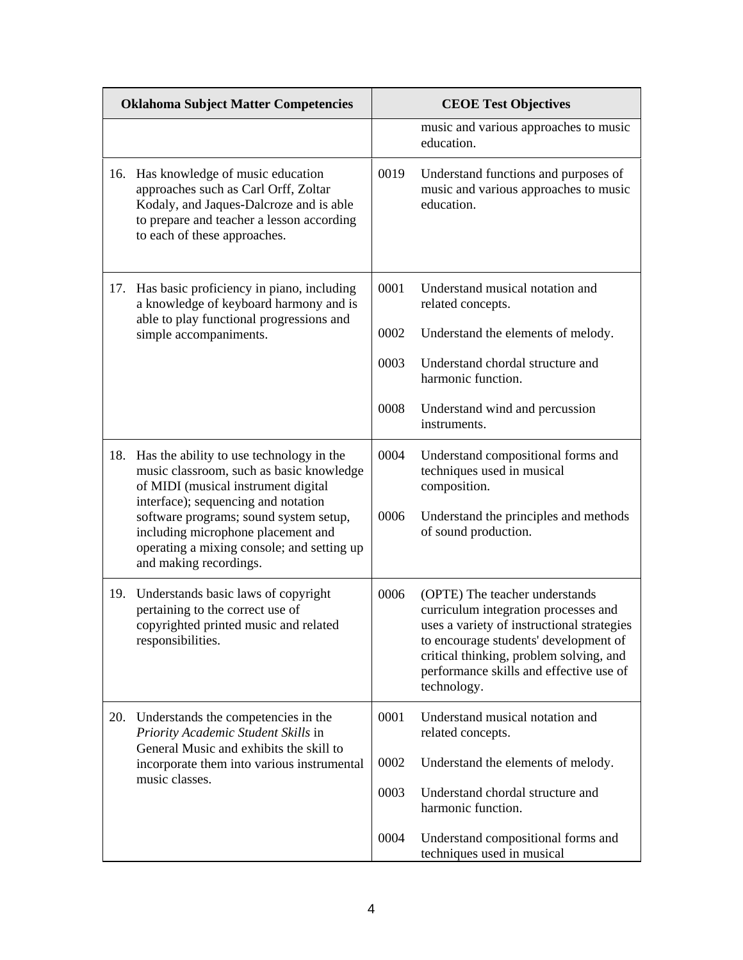|     | <b>Oklahoma Subject Matter Competencies</b>                                                                                                                                                                                                                                                      |              | <b>CEOE Test Objectives</b>                                                                                                                                                                                                                                        |
|-----|--------------------------------------------------------------------------------------------------------------------------------------------------------------------------------------------------------------------------------------------------------------------------------------------------|--------------|--------------------------------------------------------------------------------------------------------------------------------------------------------------------------------------------------------------------------------------------------------------------|
|     |                                                                                                                                                                                                                                                                                                  |              | music and various approaches to music<br>education.                                                                                                                                                                                                                |
| 16. | Has knowledge of music education<br>approaches such as Carl Orff, Zoltar<br>Kodaly, and Jaques-Dalcroze and is able<br>to prepare and teacher a lesson according<br>to each of these approaches.                                                                                                 | 0019         | Understand functions and purposes of<br>music and various approaches to music<br>education.                                                                                                                                                                        |
| 17. | Has basic proficiency in piano, including<br>a knowledge of keyboard harmony and is<br>able to play functional progressions and<br>simple accompaniments.                                                                                                                                        | 0001         | Understand musical notation and<br>related concepts.                                                                                                                                                                                                               |
|     |                                                                                                                                                                                                                                                                                                  | 0002         | Understand the elements of melody.                                                                                                                                                                                                                                 |
|     |                                                                                                                                                                                                                                                                                                  | 0003         | Understand chordal structure and<br>harmonic function.                                                                                                                                                                                                             |
|     |                                                                                                                                                                                                                                                                                                  | 0008         | Understand wind and percussion<br>instruments.                                                                                                                                                                                                                     |
| 18. | Has the ability to use technology in the<br>music classroom, such as basic knowledge<br>of MIDI (musical instrument digital<br>interface); sequencing and notation<br>software programs; sound system setup,<br>including microphone placement and<br>operating a mixing console; and setting up | 0004<br>0006 | Understand compositional forms and<br>techniques used in musical<br>composition.<br>Understand the principles and methods<br>of sound production.                                                                                                                  |
|     | and making recordings.                                                                                                                                                                                                                                                                           |              |                                                                                                                                                                                                                                                                    |
| 19. | Understands basic laws of copyright<br>pertaining to the correct use of<br>copyrighted printed music and related<br>responsibilities.                                                                                                                                                            | 0006         | (OPTE) The teacher understands<br>curriculum integration processes and<br>uses a variety of instructional strategies<br>to encourage students' development of<br>critical thinking, problem solving, and<br>performance skills and effective use of<br>technology. |
| 20. | Understands the competencies in the<br>Priority Academic Student Skills in<br>General Music and exhibits the skill to<br>incorporate them into various instrumental<br>music classes.                                                                                                            | 0001         | Understand musical notation and<br>related concepts.                                                                                                                                                                                                               |
|     |                                                                                                                                                                                                                                                                                                  | 0002         | Understand the elements of melody.                                                                                                                                                                                                                                 |
|     |                                                                                                                                                                                                                                                                                                  | 0003         | Understand chordal structure and<br>harmonic function.                                                                                                                                                                                                             |
|     |                                                                                                                                                                                                                                                                                                  | 0004         | Understand compositional forms and<br>techniques used in musical                                                                                                                                                                                                   |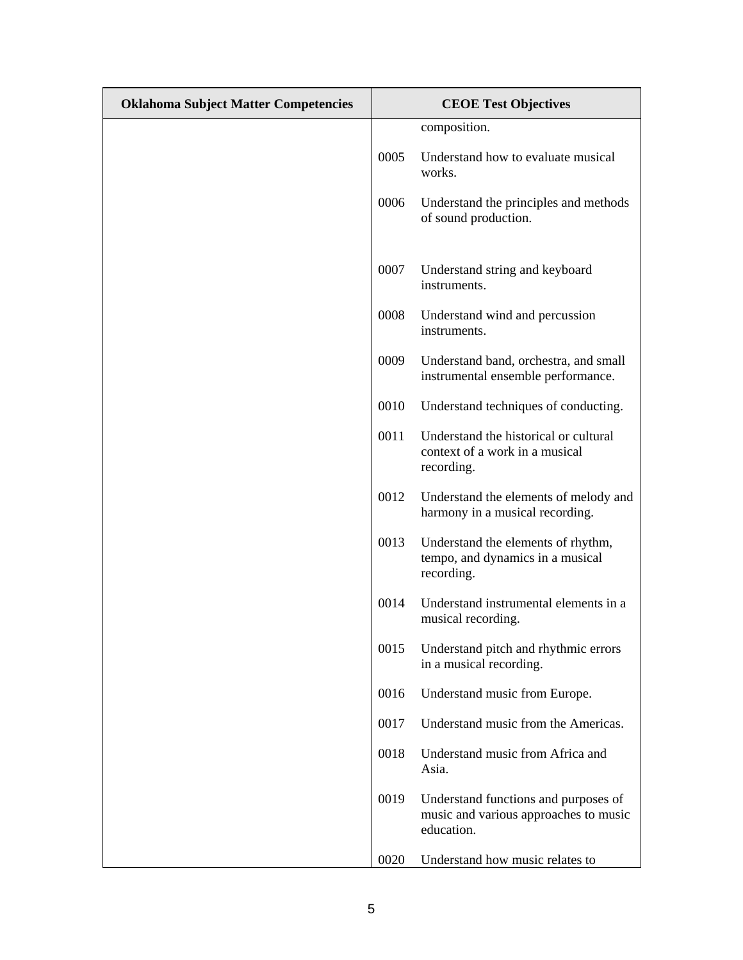| <b>Oklahoma Subject Matter Competencies</b> |      | <b>CEOE Test Objectives</b>                                                                 |
|---------------------------------------------|------|---------------------------------------------------------------------------------------------|
|                                             |      | composition.                                                                                |
|                                             | 0005 | Understand how to evaluate musical<br>works.                                                |
|                                             | 0006 | Understand the principles and methods<br>of sound production.                               |
|                                             | 0007 | Understand string and keyboard<br>instruments.                                              |
|                                             | 0008 | Understand wind and percussion<br>instruments.                                              |
|                                             | 0009 | Understand band, orchestra, and small<br>instrumental ensemble performance.                 |
|                                             | 0010 | Understand techniques of conducting.                                                        |
|                                             | 0011 | Understand the historical or cultural<br>context of a work in a musical<br>recording.       |
|                                             | 0012 | Understand the elements of melody and<br>harmony in a musical recording.                    |
|                                             | 0013 | Understand the elements of rhythm,<br>tempo, and dynamics in a musical<br>recording.        |
|                                             | 0014 | Understand instrumental elements in a<br>musical recording.                                 |
|                                             | 0015 | Understand pitch and rhythmic errors<br>in a musical recording.                             |
|                                             | 0016 | Understand music from Europe.                                                               |
|                                             | 0017 | Understand music from the Americas.                                                         |
|                                             | 0018 | Understand music from Africa and<br>Asia.                                                   |
|                                             | 0019 | Understand functions and purposes of<br>music and various approaches to music<br>education. |
|                                             | 0020 | Understand how music relates to                                                             |